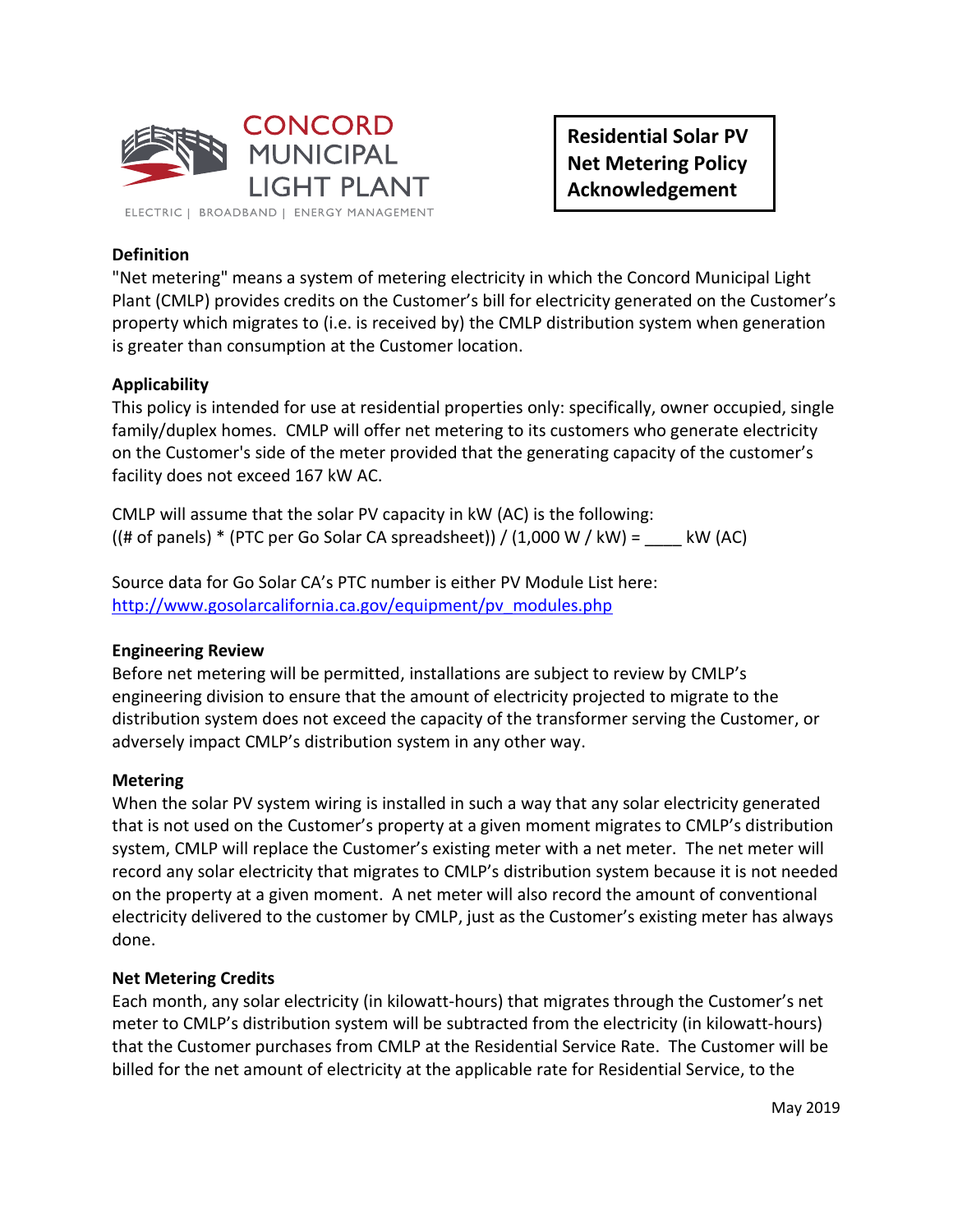

**Residential Solar PV Net Metering Policy Acknowledgement**

# **Definition**

"Net metering" means a system of metering electricity in which the Concord Municipal Light Plant (CMLP) provides credits on the Customer's bill for electricity generated on the Customer's property which migrates to (i.e. is received by) the CMLP distribution system when generation is greater than consumption at the Customer location.

## **Applicability**

This policy is intended for use at residential properties only: specifically, owner occupied, single family/duplex homes. CMLP will offer net metering to its customers who generate electricity on the Customer's side of the meter provided that the generating capacity of the customer's facility does not exceed 167 kW AC.

CMLP will assume that the solar PV capacity in kW (AC) is the following:  $((# of panels) * (PTC per Go Solar CA spreadsheet)) / (1,000 W / kW) =$  kW (AC)

Source data for Go Solar CA's PTC number is either PV Module List here: [http://www.gosolarcalifornia.ca.gov/equipment/pv\\_modules.php](http://www.gosolarcalifornia.ca.gov/equipment/pv_modules.php)

## **Engineering Review**

Before net metering will be permitted, installations are subject to review by CMLP's engineering division to ensure that the amount of electricity projected to migrate to the distribution system does not exceed the capacity of the transformer serving the Customer, or adversely impact CMLP's distribution system in any other way.

### **Metering**

When the solar PV system wiring is installed in such a way that any solar electricity generated that is not used on the Customer's property at a given moment migrates to CMLP's distribution system, CMLP will replace the Customer's existing meter with a net meter. The net meter will record any solar electricity that migrates to CMLP's distribution system because it is not needed on the property at a given moment. A net meter will also record the amount of conventional electricity delivered to the customer by CMLP, just as the Customer's existing meter has always done.

### **Net Metering Credits**

Each month, any solar electricity (in kilowatt-hours) that migrates through the Customer's net meter to CMLP's distribution system will be subtracted from the electricity (in kilowatt-hours) that the Customer purchases from CMLP at the Residential Service Rate. The Customer will be billed for the net amount of electricity at the applicable rate for Residential Service, to the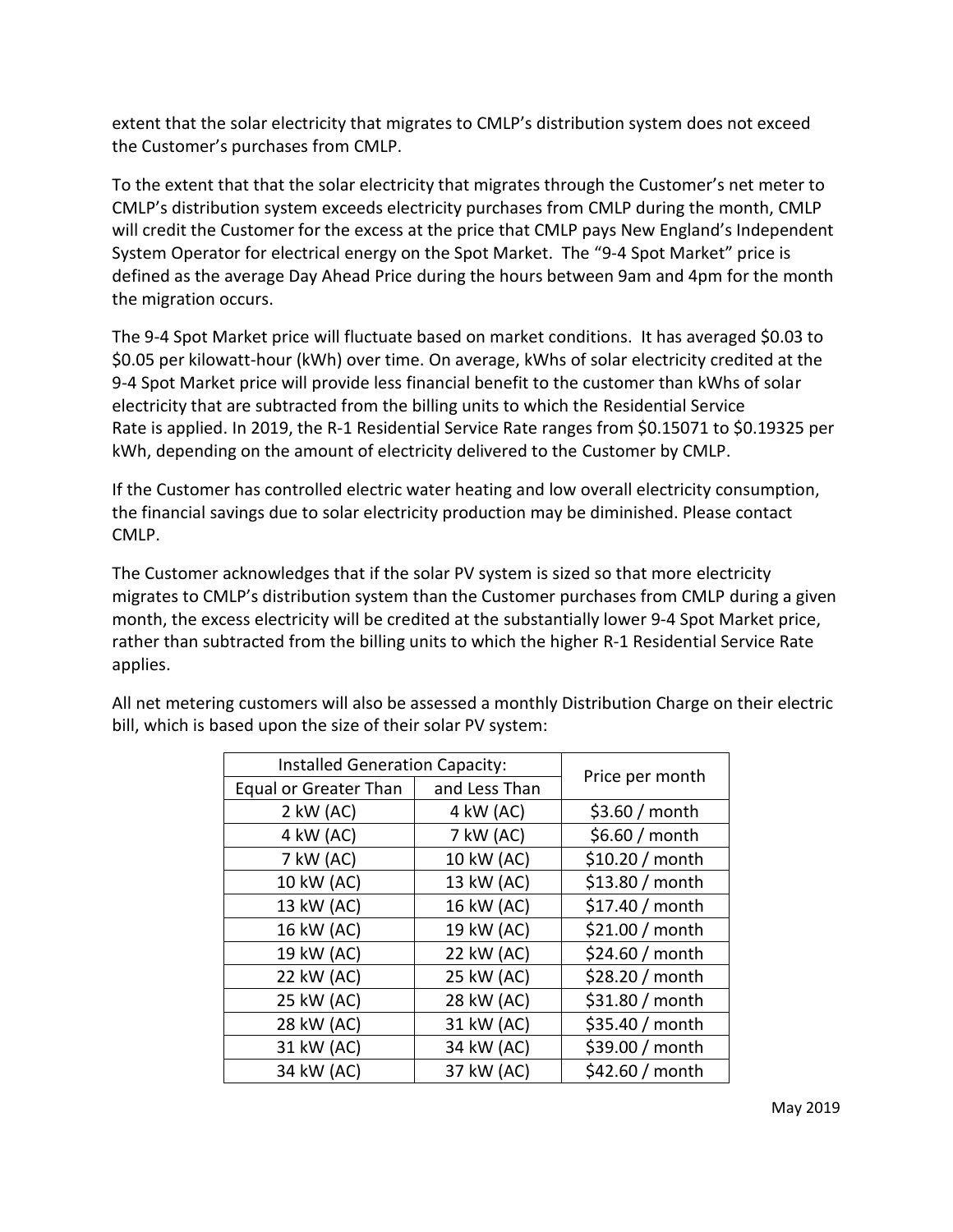extent that the solar electricity that migrates to CMLP's distribution system does not exceed the Customer's purchases from CMLP.

To the extent that that the solar electricity that migrates through the Customer's net meter to CMLP's distribution system exceeds electricity purchases from CMLP during the month, CMLP will credit the Customer for the excess at the price that CMLP pays New England's Independent System Operator for electrical energy on the Spot Market. The "9-4 Spot Market" price is defined as the average Day Ahead Price during the hours between 9am and 4pm for the month the migration occurs.

The 9-4 Spot Market price will fluctuate based on market conditions. It has averaged \$0.03 to \$0.05 per kilowatt-hour (kWh) over time. On average, kWhs of solar electricity credited at the 9-4 Spot Market price will provide less financial benefit to the customer than kWhs of solar electricity that are subtracted from the billing units to which the Residential Service Rate is applied. In 2019, the R-1 Residential Service Rate ranges from \$0.15071 to \$0.19325 per kWh, depending on the amount of electricity delivered to the Customer by CMLP.

If the Customer has controlled electric water heating and low overall electricity consumption, the financial savings due to solar electricity production may be diminished. Please contact CMLP.

The Customer acknowledges that if the solar PV system is sized so that more electricity migrates to CMLP's distribution system than the Customer purchases from CMLP during a given month, the excess electricity will be credited at the substantially lower 9-4 Spot Market price, rather than subtracted from the billing units to which the higher R-1 Residential Service Rate applies.

| <b>Installed Generation Capacity:</b> |               |                 |
|---------------------------------------|---------------|-----------------|
| <b>Equal or Greater Than</b>          | and Less Than | Price per month |
| $2$ kW (AC)                           | 4 kW (AC)     | \$3.60 / month  |
| 4 kW (AC)                             | 7 kW (AC)     | \$6.60 / month  |
| 7 kW (AC)                             | 10 kW (AC)    | \$10.20 / month |
| 10 kW (AC)                            | 13 kW (AC)    | \$13.80 / month |
| 13 kW (AC)                            | 16 kW (AC)    | \$17.40 / month |
| 16 kW (AC)                            | 19 kW (AC)    | \$21.00 / month |
| 19 kW (AC)                            | 22 kW (AC)    | \$24.60 / month |
| 22 kW (AC)                            | 25 kW (AC)    | \$28.20 / month |
| 25 kW (AC)                            | 28 kW (AC)    | \$31.80 / month |
| 28 kW (AC)                            | 31 kW (AC)    | \$35.40 / month |
| 31 kW (AC)                            | 34 kW (AC)    | \$39.00 / month |
| 34 kW (AC)                            | 37 kW (AC)    | \$42.60 / month |

All net metering customers will also be assessed a monthly Distribution Charge on their electric bill, which is based upon the size of their solar PV system: